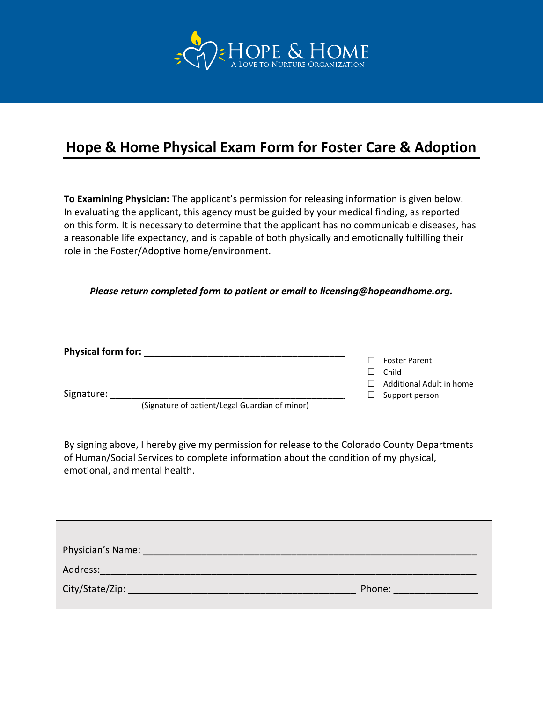

## **Hope & Home Physical Exam Form for Foster Care & Adoption**

**To Examining Physician:** The applicant's permission for releasing information is given below. In evaluating the applicant, this agency must be guided by your medical finding, as reported on this form. It is necessary to determine that the applicant has no communicable diseases, has a reasonable life expectancy, and is capable of both physically and emotionally fulfilling their role in the Foster/Adoptive home/environment.

## *Please return completed form to patient or email to licensing@hopeandhome.org.*

| <b>Physical form for:</b> |                                                |              |                          |
|---------------------------|------------------------------------------------|--------------|--------------------------|
|                           |                                                |              | <b>Foster Parent</b>     |
|                           |                                                | $\mathsf{L}$ | Child                    |
|                           |                                                | $\perp$      | Additional Adult in home |
| Signature:                |                                                | $\Box$       | Support person           |
|                           | (Signature of patient/Legal Guardian of minor) |              |                          |

By signing above, I hereby give my permission for release to the Colorado County Departments of Human/Social Services to complete information about the condition of my physical, emotional, and mental health.

| Physician's Name: |        |
|-------------------|--------|
| Address:          |        |
|                   | Phone: |